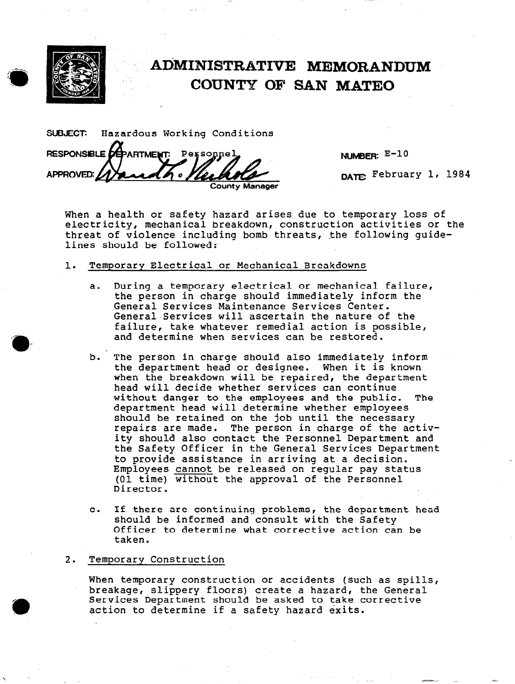

## ADMINISTRATIVE MEMORANDUM COUNTY OF SAN MATE0

SUSJECT: Hazardous Working Conditions RESPONSIBLE *DE***PARTMENT**: Personnel APPROVED: 1 County Manager

NUMBER: E-10

DATE February 1, 1984

When a health or safety hazard arises due to temporary loss of electricity, mechanical breakdown, construction activities or the threat of violence including bomb threats, the following guidelines should be followed:

- 1. Temporary Electrical or Mechanical Breakdowns
	- a. During a temporary electrical or mechanical failure, the person in charge should immediately inform the General Services Maintenance Services Center. General.Services will ascertain the nature of the failure, take whatever remedial action is possible, and determine when services can be restored.
	- b. The person in charge should also immediately inform the department head or designee. When it is known when the breakdown will be repaired, the department head will decide whether services can continue without danger to the employees and the public. The department head will determine whether employees should be retained on the job until the necessary repairs are made. The person in charge of the activity should also contact the Personnel Department and the Safety Officer in the General Services Department to provide assistance in arriving at a decision. Employees cannot be released on reqular pay status (01 time) without the approval of the Personnel Director.
	- C. If there are continuing problems, the department head should be informed and consult with the Safety Officer to determine what corrective action can be taken.

## 2. Temporary Construction

When temporary construction or accidents (such as spills, breakage, slippery floors) create a hazard, the General Services Department should be asked to take corrective action to determine if a safety hazard exits.